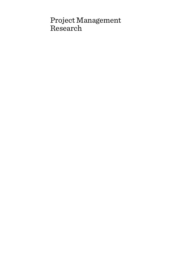# Project Management Research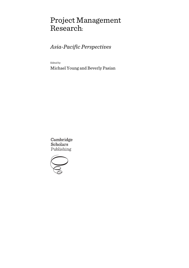# Project Management Research:

# *Asia-Pacific Perspectives*

Edited by

Michael Young and Beverly Pasian

Cambridge **Scholars** Publishing

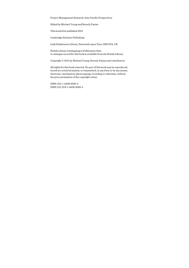Project Management Research: Asia-Pacific Perspectives

Edited by Michael Young and Beverly Pasian

This book first published 2015

Cambridge Scholars Publishing

Lady Stephenson Library, Newcastle upon Tyne, NE6 2PA, UK

British Library Cataloguing in Publication Data A catalogue record for this book is available from the British Library

Copyright © 2015 by Michael Young, Beverly Pasian and contributors

All rights for this book reserved. No part of this book may be reproduced, stored in a retrieval system, or transmitted, in any form or by any means, electronic, mechanical, photocopying, recording or otherwise, without the prior permission of the copyright owner.

ISBN (10): 1-4438-8382-4 ISBN (13): 978-1-4438-8382-5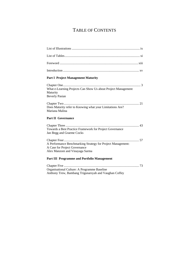## TABLE OF CONTENTS

| <b>Part I Project Management Maturity</b>                                                                                       |
|---------------------------------------------------------------------------------------------------------------------------------|
|                                                                                                                                 |
| What e-Learning Projects Can Show Us about Project Management<br>Maturity<br><b>Beverly Pasian</b>                              |
| Does Maturity refer to Knowing what your Limitations Are?<br>Mariana Malina                                                     |
| <b>Part II Governance</b>                                                                                                       |
| Towards a Best Practice Framework for Project Governance<br>Jan Begg and Graeme Cocks                                           |
| A Performance Benchmarking Strategy for Project Management:<br>A Case for Project Governance<br>Alex Manzoni and Vinayaga Sarma |
| <b>Part III Programme and Portfolio Management</b>                                                                              |
|                                                                                                                                 |
| Organisational Culture: A Programme Baseline                                                                                    |

Anthony Trew, Bambang Trigunarsyah and Vaughan Coffey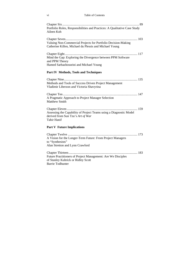#### vi Table of Contents

| Portfolio Roles, Responsibilities and Practices: A Qualitative Case Study<br>Aileen Koh                                       |
|-------------------------------------------------------------------------------------------------------------------------------|
| Valuing Non-Commercial Projects for Portfolio Decision-Making<br>Catherine Killen, Michael du Plessis and Michael Young       |
|                                                                                                                               |
| Mind the Gap: Exploring the Divergence between PPM Software<br>and PPM Theory                                                 |
| Hamed Sarbazhosseini and Michael Young                                                                                        |
| Part IV Methods, Tools and Techniques                                                                                         |
| Methods and Tools of Success Driven Project Management<br>Vladimir Liberzon and Victoria Shavyrina                            |
| A Pragmatic Approach to Project Manager Selection<br><b>Matthew Smith</b>                                                     |
| Assessing the Capability of Project Teams using a Diagnostic Model<br>derived from Sun Tzu's Art of War<br><b>Tahir Hanif</b> |
| <b>Part V Future Implications</b>                                                                                             |
| A Vision for the Longer-Term Future: From Project Managers<br>to "Synthesists"<br>Alan Stretton and Lynn Crawford             |
|                                                                                                                               |

Chapter Thirteen ...................................................................................... 183 Future Practitioners of Project Management: Are We Disciples of Stanley Kubrick or Ridley Scott Barrie Todhunter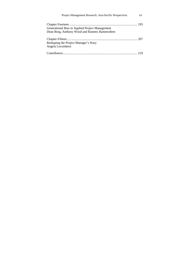| Project Management Research: Asia-Pacific Perspectives |  |
|--------------------------------------------------------|--|
|                                                        |  |
| Generational Bias in Applied Project Management        |  |
| Dean Borg, Anthony Wood and Rameez Rameezdeen          |  |
|                                                        |  |
| Reshaping the Project Manager's Story                  |  |
| Angela Lecombern                                       |  |
|                                                        |  |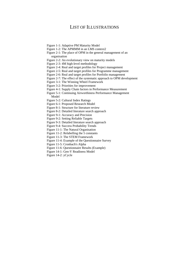### LIST OF ILLUSTRATIONS

- Figure 1-1: Adaptive PM Maturity Model
- Figure 1-2: The APMMM in an LMS context2
- Figure 2-1: The place of OPM in the general management of an organisation
- Figure 2-2: An evolutionary view on maturity models
- Figure 2-3: 4M high-level methodology
- Figure 2-4: Real and target profiles for Project management
- Figure 2-5: Real and target profiles for Programme management
- Figure 2-6: Real and target profiles for Portfolio management
- Figure 2-7: The effect of the systematic approach to OPM development
- Figure 3-1: The Winning Wheel Framework
- Figure 3-2: Priorities for improvement
- Figure 4-1: Supply Chain factors in Performance Measurement
- Figure 5-1: Continuing Airworthiness Performance Management Model
- Figure 5-2: Cultural Index Ratings
- Figure 6-1: Proposed Research Model
- Figure 8-1: Structure for literature review
- Figure 8-2: Detailed literature search approach
- Figure 9-1: Accuracy and Precision
- Figure 9-2: Setting Reliable Targets
- Figure 9-3: Detailed literature search approach
- Figure 9-4: Success Probability Trends
- Figure 11-1: The Natural Organisation
- Figure 11-2: Relabelling the 5 constants
- Figure 11-3: The STEM Framework
- Figure 11-4: Example of the Questionnaire Survey
- Figure 11-5: Cronbach's Alpha
- Figure 11-6: Questionnaire Results (Example)
- Figure 14-1: Gen-Y Readiness Model
- Figure 14-2: yCycle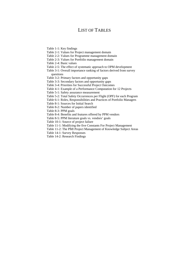### LIST OF TABLES

- Table 1-1: Key findings
- Table 2-1: Values for Project management domain
- Table 2-2: Values for Programme management domain
- Table 2-3: Values for Portfolio management domain
- Table 2-4: Basic values
- Table 2-5: The effect of systematic approach to OPM development
- Table 3-1: Overall importance ranking of factors derived from survey questions
- Table 3-2: Primary factors and opportunity gaps
- Table 3-3: Secondary factors and opportunity gaps
- Table 3-4: Priorities for Successful Project Outcomes
- Table 4-1: Example of a Performance Computation for 12 Projects
- Table 5-1: Safety assurance measurement
- Table 5-2: Total Safety Occurrences per Flight (OPF) for each Program
- Table 6-1: Roles, Responsibilities and Practices of Portfolio Managers
- Table 8-1: Sources for Initial Search
- Table 8-2: Number of papers identified
- Table 8-3: PPM goals
- Table 8-4: Benefits and features offered by PPM vendors
- Table 8-5: PPM literature goals vs. vendors' goals
- Table 10-1: Source of project failure
- Table 11-1: Modifying the five Constants For Project Management
- Table 11-2: The PMI Project Management of Knowledge Subject Areas
- Table 14-1: Survey Responses
- Table 14-2: Research Findings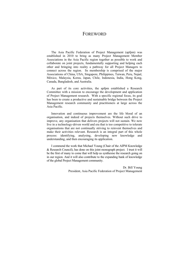### **FOREWORD**

The Asia Pacific Federation of Project Management (apfpm) was established in 2010 to bring as many Project Management Member Associations in the Asia Pacific region together as possible to work and collaborate on joint projects, fundamentally supporting and helping each other and bringing into reality a pathway for all Project Managers to connect across the region. Its membership is comprised of the major Associations of China, USA, Singapore, Philippines, Taiwan, Peru, Nepal, México, Malaysia, Korea, Japan, Chile, Indonesia, India, Hong Kong, Canada, Bangladesh, and Australia.

As part of its core activities, the apfpm established a Research Committee with a mission to encourage the development and application of Project Management research. With a specific regional focus, its goal has been to create a productive and sustainable bridge between the Project Management research community and practitioners at large across the Asia Pacific.

Innovation and continuous improvement are the life blood of an organisation, and indeed of projects themselves. Without such drive to improve, any organisation that delivers projects will not sustain. We now live in a technology-driven world and era that is too competitive to tolerate organisations that are not continually striving to reinvent themselves and make their activities relevant. Research is an integral part of this whole process: identifying, analysing, developing new knowledge and understanding, and then encouraging its application.

I commend the work that Michael Young (Chair of the AIPM Knowledge & Research Council), has done on this joint monograph project. I trust it will be the first of many to come that will help us synthesise the research going on in our region. And it will also contribute to the expanding bank of knowledge of the global Project Management community.

> Dr. Bill Young President, Asia Pacific Federation of Project Management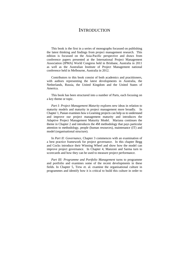### **INTRODUCTION**

This book is the first in a series of monographs focussed on publishing the latest thinking and findings from project management research. This edition is focussed on the Asia-Pacific perspective and draws from conference papers presented at the International Project Management Association (IPMA) World Congress held in Brisbane, Australia in 2011 as well as the Australian Institute of Project Management national conference held in Melbourne, Australia in 2012.

Contributors to this book consist of both academics and practitioners, with authors representing the latest developments in Australia, the Netherlands, Russia, the United Kingdom and the United States of America.

This book has been structured into a number of Parts, each focusing on a key theme or topic.

*Part I: Project Management Maturity* explores new ideas in relation to maturity models and maturity in project management more broadly. In Chapter 1, Pasian examines how e-Learning projects can help us to understand and improve our project management maturity and introduces the Adaptive Project Management Maturity Model. Mariana continues the theme in Chapter 2 and introduces the 4M methodology that pays particular attention to methodology, people (human resources), maintenance (IT) and model (organisational structure).

In *Part II: Governance*, Chapter 3 commences with an examination of a best practice framework for project governance. In this chapter Begg and Cocks introduce their Winning Wheel and show how the model can improve project governance. In Chapter 4, Manzoni and Sarma turn to scorecards and how they can be used to measure project performance.

*Part III: Programme and Portfolio Management* turns to programme and portfolio and examines some of the recent developments in these fields. In Chapter 5, Trew et. al. examine the organisational culture in programmes and identify how it is critical to build this culture in order to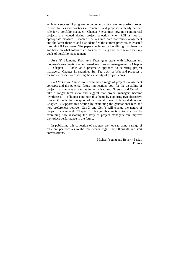xvi Foreword

achieve a successful programme outcome. Koh examines portfolio roles, responsibilities and practices in Chapter 6 and proposes a clearly defined role for a portfolio manager. Chapter 7 examines how non-commercial projects are valued during project selection when ROI is not an appropriate measure. Chapter 8 delves into both portfolio management and the latest theories and also identifies the current practices as enacted through PPM software. The paper concludes by identifying that there is a gap between what software vendors are offering and the research and key goals of portfolio management.

*Part IV: Methods, Tools and Techniques* starts with Liberzon and Savyrina's examination of success-driven project management in Chapter 9. Chapter 10 looks at a pragmatic approach to selecting project managers. Chapter 11 examines Sun Tzu's Art of War and proposes a diagnostic model for assessing the capability of project teams.

*Part V: Future Implications* examines a range of project management concepts and the potential future implications both for the discipline of project management as well as for organisations. Stretton and Crawford take a longer term view and suggest that project managers become 'synthesists'. Todhunter continues this theme by exploring two alternative futures through the metaphor of two well-known Hollywood directors. Chapter 14 supports this section by examining the generational bias and how preferences between Gen-X and Gen-Y will change the nature of project management. Chapter 15 brings this section to a close by examining how reshaping the story of project managers can improve workplace performance in the future.

In publishing this collection of chapters we hope to bring a range of different perspectives to the fore which trigger new thoughts and start conversations.

> Michael Young and Beverly Pasian **Editors**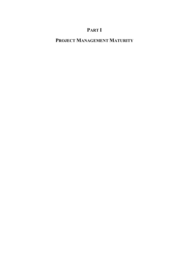# **PART I**

## **PROJECT MANAGEMENT MATURITY**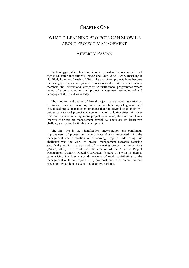### CHAPTER ONE

### WHAT E-LEARNING PROJECTS CAN SHOW US ABOUT PROJECT MANAGEMENT

### BEVERLY PASIAN

Technology-enabled learning is now considered a necessity in all higher education institutions (Chavan and Pavri, 2004; Grob, Bensberg et al., 2004; Lonn and Teasley, 2009). The associated projects have become increasingly complex and grown from individual efforts between faculty members and instructional designers to institutional programmes where teams of experts combine their project management, technological and pedagogical skills and knowledge.

The adoption and quality of formal project management has varied by institution, however, resulting in a unique blending of generic and specialised project management practices that put universities on their own unique path toward project management maturity. Universities will, over time and by accumulating more project experience, develop and likely improve their project management capability. There are (at least) two challenges associated with this development.

The first lies in the identification, incorporation and continuous improvement of process and non-process factors associated with the management and evaluation of e-Learning projects. Addressing this challenge was the work of project management research focusing specifically on the management of e-Learning projects at universities (Pasian, 2011). The result was the creation of the Adaptive Project Management Maturity Model (APMMM) (Figure 1-1) with its themes summarising the four major dimensions of work contributing to the management of these projects. They are: customer involvement, defined processes, dynamic non-events and adaptive variants.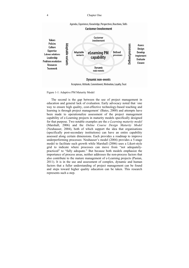#### 4 Chapter One



Figure 1-1: Adaptive PM Maturity Model

The second is the gap between the use of project management in education and general lack of evaluation. Early advocacy noted that ´one way to ensure high quality, cost-effective technology-based teaching and learning is through project management' (Bates, 2000) and attempts have been made to operationalize assessment of the project management capability of e-Learning projects in maturity models specifically designed for that purpose. Two notable examples are the *e-Learning maturity model* (Marshall, 2006) and the *Online Course Design Maturity Model* (Neuhauser, 2004), both of which support the idea that organisations (specifically post-secondary institutions) can have an entire capability assessed along certain dimensions. Each provides a roadmap to improve underperforming processes: Neuhauser's model (2004) provides a 5-stage model to facilitate such growth while Marshall (2006) uses a Likert-style grid to indicate where processes can move from "not adequatelypracticed" to "fully adequate." But because both models emphasize the importance of process areas, neither addresses the non-process factors that also contribute to the mature management of e-Learning projects (Pasian, 2011). It is in the use and assessment of complex, dynamic and human factors that a fuller understanding of project management can be found and steps toward higher quality education can be taken. This research represents such a step.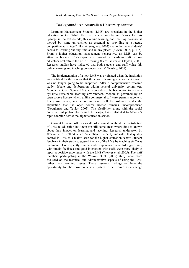### **Background: An Australian University context**

Learning Management Systems (LMS) are prevalent in the higher education sector. While there are many contributing factors for this upsurge in the last decade, this online learning and teaching presence is viewed by some universities as essential to providing a "strategic competitive advantage" (Holt & Seagrave, 2003) and to facilitate students' access to learning "at any time and in any place" (Slevin, 2008, p. 115). From a higher education management perspective, an LMS can be attractive because of its capacity to promote a paradigm shift in how educators orchestrate the act of learning (Barr, Gower & Clayton, 2008). Research studies have indicated that both students and staff value this online learning and teaching presence (Lonn & Teasley, 2009).

The implementation of a new LMS was originated when the institution was notified by the vendor that the current learning management system was no longer going to be supported. After a comprehensive research study, debate and deliberation within several university committees, Moodle, an Open Source LMS, was considered the best option to ensure a dynamic sustainable learning environment. Moodle is governed by an open source license which, unlike commercial software, permits anyone to freely use, adapt, restructure and even sell the software under the stipulation that the open source license remains uncompromised (Dougiamas and Taylor, 2003). This flexibility, along with the social constructivist philosophy behind its design, has contributed to Moodle's rapid adoption across the higher education sector.

Current literature offers a wealth of information about the contribution of LMS to education but there are still some areas where little is known about their impact on learning and teaching. Research undertaken by Weaver et al. (2005) at an Australian University indicates that quality control in LMS is a major issue for the higher education sector. Student feedback in their study suggested the use of the LMS by teaching staff was paramount. Consequently, students who experienced a well-designed unit, with timely feedback and good interaction with staff, were more likely to report a positive experience with the LMS (Weaver et al, 2005). The staff members participating in the Weaver et al. (2005) study were more focussed on the technical and administrative aspects of using the LMS rather than teaching issues. These research findings reinforce the opportunity for the move to a new system to be viewed as a change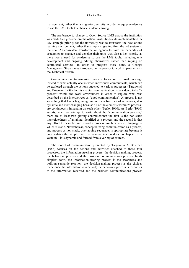#### 6 Chapter One

management, rather than a migration, activity in order to equip academics to use the LMS tools to enhance student learning.

The preference to change to Open Source LMS across the institution was made two years before the official institution-wide implementation. A key strategic priority for the university was to transform the new online learning environment, rather than simply migrating from the old system to the new. An equivalent transformation agenda to build the capability of academics to manage and develop their units was also a key priority as there was a need for academics to use the LMS tools, including unit development and ongoing editing, themselves rather than relying on centralized services. In order to progress these aims, a Change Management Stream was introduced in the project to work in parallel with the Technical Stream.

Communication transmission models focus on external message instead of what actually occurs when individuals communicate, which can be explored through the actions attached to various processes (Targowski and Bowman, 1988). In this chapter, communication is considered to be "a process" within the work environment in order to explore what was described by the interviewees as "good communication". A process is not something that has a beginning, an end or a fixed set of sequences; it is dynamic and ever-changing because all of the elements within "a process" are continuously impacting on each other (Berlo, 1960). As Berlo (1960) asserts, when we attempt to write about the "communication process," there are at least two glaring contradictions: the first is the non-static interrelatedness of anything identified as a process and the second is that any effort to describe and record a process involves written language – which is static. Nevertheless, conceptualizing communication as a process, and process as non-static, overlapping sequence, is appropriate because it encapsulates the simple fact that communication does not happen in a vacuum – it is dynamic and formed from a variety of sources.

The model of communication presented by Targowski & Bowman (1988) focuses on the actions and activities attached to these four processes: the information-steering process; the decision making process; the behaviour process and the business communications process. In its simplest form, the information-steering process is the awareness and volition semantic reaction; the decision-making process is the choices made once the information is received; the behaviour process is responses to the information received and the business communications process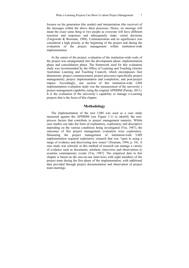focuses on the generation (the sender) and interpretation (the receiver) of the messages within the above three processes. Hence, no message will mean the exact same thing to two people as everyone will have different reactions and responses and subsequently make varied decisions (Targowski & Bowman, 1988). Communication and its significance was considered a high priority at the beginning of the project and during the evaluation of the project management within institution-wide implementation.

At the outset of the project, evaluation of the institution-wide scale of the project was amalgamated into the development phase, implementation phase and consolidation phase. The framework used for this evaluation study was recommended by the Office of Learning and Teaching (former Australian Learning and Teaching Council), which encompasses four dimensions: project commencement; project processes (specifically project management); project implementation and completion; and post-project impact. Accordingly, one section of this institution-wide LMS implementation evaluation study was the measurement of the university´s project management capability using the original APMMM (Pasian, 2011). It is the evaluation of the university´s capability to manage e-Learning projects that is the focus of this chapter.

### **Methodology**

The implementation of the new LMS was used as a case study measured against the APMMM (see Figure 1-1) to identify the nonprocess factors that contribute to project management maturity. Whilst case studies can take the form of explanatory, exploratory and descriptive depending on the various conditions being investigated (Yin, 1987), the outcomes of this project management evaluation were exploratory. Measuring the project management of institution-wide LMS implementation required exploratory research that was "open to using a range of evidence and discovering new issues" (Neuman, 1994, p. 18). A case study was selected, as this method of research can manage a variety of evidence such as documents, artefacts, interviews and observations to examine contemporary events (Yin, 1987). The empirical data in this chapter is based on the one-on-one interviews with eight members of the project team during the first phase of the implementation, with additional data provided through project documentation and observation of project team meetings.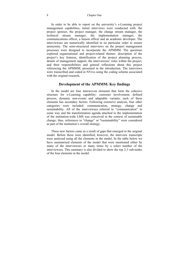In order to be able to report on the university's e-Learning project management capabilities, initial interviews were conducted with: the project sponsor, the project manager, the change stream manager, the technical stream manager, the implementation manager, the stream manager, the implementation manager, the communications officer, a liaison officer and an academic developer. The interviewees are numerically identified in no particular order to ensure anonymity. The semi-structured interviews on the project management processes were designed to incorporate the APMMM. The questions explored organisational and project-related themes: description of the project's key features, identification of the project planning process, details of management support, the interviewees' roles within the project, and their responsibilities and general reflections about this project referencing the APMMM, presented in the introduction. The interviews were transcribed and coded in NVivo using the coding scheme associated with the original research**.** 

### **Development of the APMMM: Key findings**

In the model are four interwoven elements that form the cohesive structure for e-Learning capability: customer involvement, defined process, dynamic non-events and adaptable variants; each of these elements has secondary factors. Following extensive analysis, four other categories were included: communication, strategy, change and sustainability. All of the interviewees referred to "communication" in some way and the transformation agenda attached to the implementation of the institution-wide LMS was conceived in the context of sustainable change; thus, references to "change" or **"**sustainability" were considered as part of the institution's overall strategy.

These new factors came as a result of gaps that emerged in the original model. Before these were identified, however, the interview transcripts were analysed using all the elements in the model. In the table below we have summarised elements of the model that were mentioned either by many of the interviewees or many times by a select number of the interviewees. This summary is also divided to show the top 2-3 sub-nodes of the four elements in the model.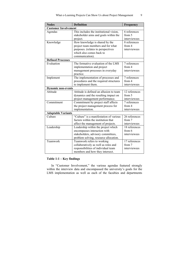| <b>Nodes</b>                | <b>Definition</b>                       | Frequency     |  |  |
|-----------------------------|-----------------------------------------|---------------|--|--|
| <b>Customer Involvement</b> |                                         |               |  |  |
| Agendas                     | This includes the institutional vision, | 6 references  |  |  |
|                             | stakeholder aims and goals within the   | from 5        |  |  |
|                             | project.                                | interviewees  |  |  |
| Knowledge                   | How knowledge is shared by the          | 8 references  |  |  |
|                             | project team members and for what       | from 4        |  |  |
|                             | purposes. (relates to perspectives      | interviewees  |  |  |
|                             | which also comes back to                |               |  |  |
|                             | communication).                         |               |  |  |
| <b>Defined Processes</b>    |                                         |               |  |  |
| Evaluation                  | The formative evaluation of the LMS     | 7 references  |  |  |
|                             | implementation and project              | from 4        |  |  |
|                             | management processes in everyday        | interviewees  |  |  |
|                             | practice.                               |               |  |  |
| Implement                   | The implementation of processes and     | 7 references  |  |  |
|                             | procedures and the required structures  | from 4        |  |  |
|                             | to implement them.                      | interviewees  |  |  |
| <b>Dynamic non-events</b>   |                                         |               |  |  |
| Attitude                    | Attitude is defined an allusion to team | 12 references |  |  |
|                             | dynamics and the resulting impact on    | from 5        |  |  |
|                             | project management performance.         | interviewees  |  |  |
| Commitment                  | Commitment by project staff affects     | 7 references  |  |  |
|                             | the project management process for      | from 4        |  |  |
|                             | implementation.                         | interviewees  |  |  |
| <b>Adaptable Variants</b>   |                                         |               |  |  |
| Culture                     | "Culture" is a manifestation of various | 26 references |  |  |
|                             | factors within the institution that     | from 7        |  |  |
|                             | affect the management of projects.      | interviewees  |  |  |
| Leadership                  | Leadership within the project which     | 18 references |  |  |
|                             | encompasses interaction with            | from 6        |  |  |
|                             | stakeholders, advisory committees,      | interviewees  |  |  |
|                             | problem solving, resource allocation.   |               |  |  |
| Teamwork                    | Teamwork refers to working              | 17 references |  |  |
|                             | collaboratively as well as roles and    | from 7        |  |  |
|                             | responsibilities of individual team     | interviewees  |  |  |
|                             | members and how they intersect.         |               |  |  |

### **Table 1-1 – Key findings**

In "Customer Involvement," the various agendas featured strongly within the interview data and encompassed the university's goals for the LMS implementation as well as each of the faculties and departments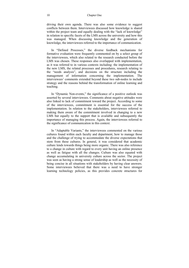#### 10 Chapter One

driving their own agenda. There was also some evidence to suggest conflicts between them. Interviewees discussed how knowledge is shared within the project team and equally dealing with the "lack of knowledge" in relation to specific facets of the LMS across the university and how this was managed. When discussing knowledge and the generation of knowledge, the interviewees referred to the importance of communication.

In "Defined Processes," the diverse feedback mechanisms for formative evaluation were frequently commented on by a select group of the interviewees, which also related to the research conducted before the LMS was chosen. These responses also overlapped with implementation, as it was referred to in various contexts including: the implementation of the new LMS, the related processes and procedures, research relating to the "needs analysis", and decisions on the structure including the management of information concerning the implementation. The interviewees' comments extended beyond these two sub-nodes to include strategy and the reasons behind the transformation of online learning and teaching.

In "Dynamic Non-events," the significance of a positive outlook was asserted by several interviewees. Comments about negative attitudes were also linked to lack of commitment toward the project. According to some of the interviewees, commitment is essential for the success of the implementation. In relation to the stakeholders, interviewees referred to making them aware of the commitment involved in changing to a new LMS but equally to the support that is available and subsequently the importance of managing this process. Again, the interviewees referred to the significance of communication in this context.

In "Adaptable Variants," the interviewees commented on the various cultures found within each faculty and department, how to manage those and the challenge of trying to accommodate the diverse expectations that stem from these cultures. In general, it was considered that academic culture lends towards things being more organic. There was also reference to a change in culture with regard to every unit having an online presence as well as fatigue with all the changes. Culture was also equated with change accumulating in university culture across the sector. The project was seen as having a strong sense of leadership as well as the necessity of being concise in all situations with stakeholders by having clear answers. Some interviewees believed that there was a need to have stronger learning technology policies, as this provides concrete structures for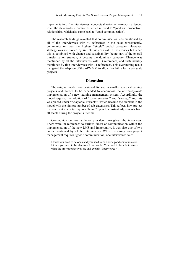implementation. The interviewees' conceptualization of teamwork extended to all the stakeholders' comments which referred to "good and productive" relationships, which also came back to "good communication".

The research findings revealed that communication was mentioned by all of the interviewees with 40 references in the data; consequently, communication was the highest "single" coded category. However, strategy was mentioned by six interviewees with 21 references but when this is combined with change and sustainability, being part of the overall transformation strategy, it became the dominant category. Change was mentioned by all the interviewees with 33 references, and sustainability mentioned by five interviewees with 11 references. This overarching result instigated the adaption of the APMMM to allow flexibility for larger scale projects.

#### **Discussion**

The original model was designed for use in smaller scale e-Learning projects and needed to be expanded to encompass the university-wide implementation of a new learning management system. Accordingly, the model required the addition of "communication" and "strategy" and this was placed under "Adaptable Variants", which became the element in the model with the highest number of sub-categories. This reflects how project management maturity requires "being" open to constant adjustments from all facets during the project's lifetime.

Communication was a factor prevalent throughout the interviews. There were 40 references to various facets of communication within the implementation of the new LMS and importantly, it was also one of two nodes mentioned by all the interviewees. When discussing how project management requires "good" communication, one interviewee said:

I think you need to be open and you need to be a very good communicator. I think you need to be able to talk to people. You need to be able to stress what the project objectives are and explain (Interviewee 4).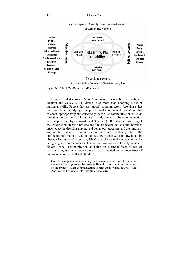#### 12 Chapter One



Acceptance, Attitude, Commitment, Motivation, Loyalty, Trust

Figure 1-2: The APMMM in an LMS context

However, what makes a "good" communicator is subjective, although Dainton and Zelley (2011) define it as more than adopting a set of particular skills. People that are "good" communicators "are those that understand the underlying principles behind communication and are able to enact, appropriately and effectively, particular communication skills as the situation warrants". This is inextricably linked to the communication process presented by Targowski and Bowman (1988). An understanding of the information steering process and the associated actions and activities attached to the decision-making and behaviour processes and the "frames" within the business communication process, specifically, how the "reflecting information" within the message is received and how it can be altered (Targowski & Bowman, 1988), are all essential considerations for being a "good" communicator. This interviewee was not the only person to situate "good" communication as being an essential facet of project management, as another interviewee also commented on the importance of communication with all stakeholders:

One of the important aspects in my mind anyway in the project is how do I communicate progress of the project? How do I communicate key aspects of the project? What communication is relevant to whom at what stage? And how do I communicate that? (Interviewee 8).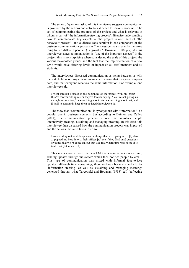The series of questions asked of this interviewee suggests communication is governed by the actions and activities attached to various processes. The act of communicating the progress of the project and what is relevant to whom is part of "the information-steering process"; likewise understanding how to communicate key aspects of the project is one facet of "the behaviour process"; and audience consideration is one component of the business communications process as "no message means exactly the same thing to two different people" (Targowski & Bowman, 1988, p.7). As this interviewee states communication is "one of the important aspects" in the project, this is not surprising when considering the scale of this project, the various stakeholder groups and the fact that the implementation of a new LMS would have differing levels of impact on all staff members and all students.

The interviewees discussed communication as being between or with the stakeholders or project team members to ensure that everyone is up-todate, and that everyone receives the same information. For example, one interviewee said:

I went through a phase at the beginning of the project with my group – they're forever asking me or they're forever saying, "You're not giving us enough information," or something about this or something about that, and [I had] to constantly keep them updated (Interviewee 1).

The view that "communication" is synonymous with "information" is a popular one in business contexts, but according to Dainton and Zelley (2011), the communication process is one that involves people interactively creating, sustaining and managing meaning. In this case, this interviewee then discussed how the communication process was improved and the actions that were taken to do so.

I was sending out weekly updates on things that were going on ... [I] also ... popped my head into ... their offices [to] see if they [had any] questions or things that we're going on, but that was really hard time wise to be able to do that (Interviewee 1).

This interviewee utilized the new LMS as a communication medium, sending updates through the system which then notified people by email. This type of communication was mixed with informal face-to-face updates; although time consuming, these methods became a vehicle for "information steering" as well as sustaining and managing meanings generated through what Targowski and Bowman (1988) call "reflecting